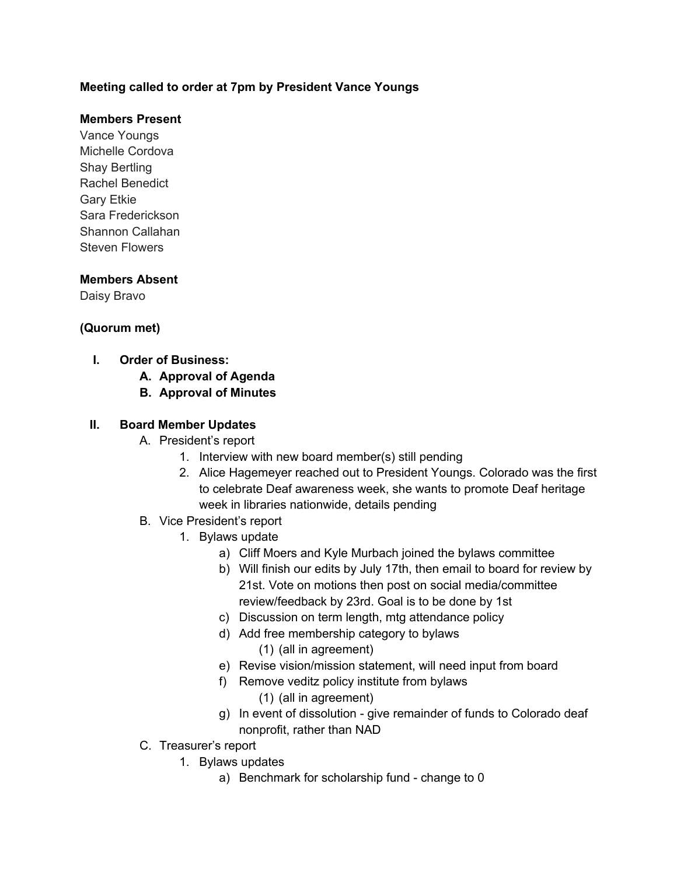## **Meeting called to order at 7pm by President Vance Youngs**

## **Members Present**

Vance Youngs Michelle Cordova Shay Bertling Rachel Benedict Gary Etkie Sara Frederickson Shannon Callahan Steven Flowers

## **Members Absent**

Daisy Bravo

## **(Quorum met)**

- **I. Order of Business:** 
	- **A. Approval of Agenda**
	- **B. Approval of Minutes**

#### **II. Board Member Updates**

- A. President's report
	- 1. Interview with new board member(s) still pending
	- 2. Alice Hagemeyer reached out to President Youngs. Colorado was the first to celebrate Deaf awareness week, she wants to promote Deaf heritage week in libraries nationwide, details pending
- B. Vice President's report
	- 1. Bylaws update
		- a) Cliff Moers and Kyle Murbach joined the bylaws committee
		- b) Will finish our edits by July 17th, then email to board for review by 21st. Vote on motions then post on social media/committee review/feedback by 23rd. Goal is to be done by 1st
		- c) Discussion on term length, mtg attendance policy
		- d) Add free membership category to bylaws
			- (1) (all in agreement)
		- e) Revise vision/mission statement, will need input from board
		- f) Remove veditz policy institute from bylaws
			- (1) (all in agreement)
		- g) In event of dissolution give remainder of funds to Colorado deaf nonprofit, rather than NAD
- C. Treasurer's report
	- 1. Bylaws updates
		- a) Benchmark for scholarship fund change to 0